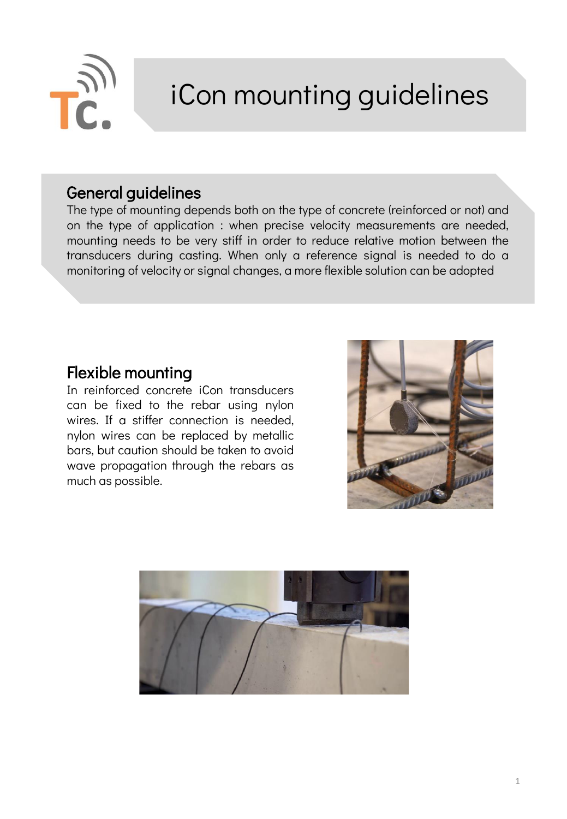

# iCon mounting guidelines

#### General guidelines

The type of mounting depends both on the type of concrete (reinforced or not) and on the type of application : when precise velocity measurements are needed, mounting needs to be very stiff in order to reduce relative motion between the transducers during casting. When only a reference signal is needed to do a monitoring of velocity or signal changes, a more flexible solution can be adopted

## Flexible mounting

In reinforced concrete iCon transducers can be fixed to the rebar using nylon wires. If a stiffer connection is needed, nylon wires can be replaced by metallic bars, but caution should be taken to avoid wave propagation through the rebars as much as possible.



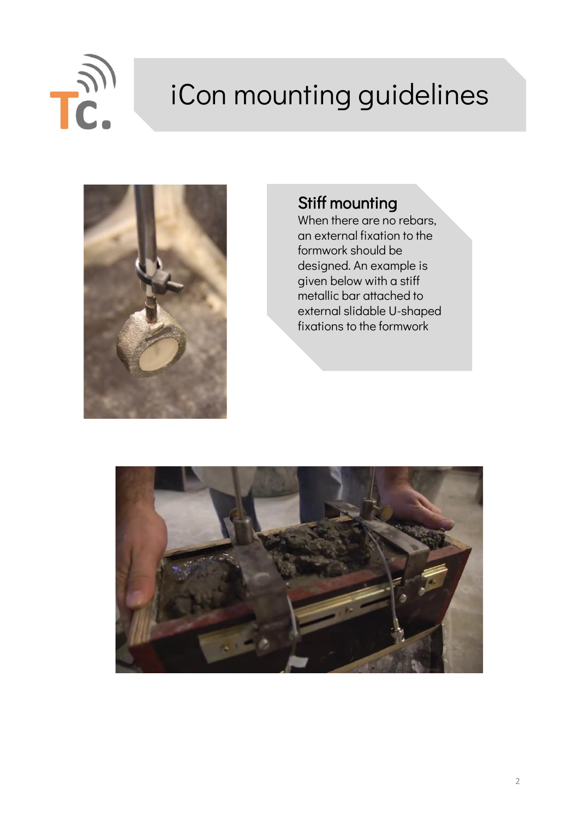

# iCon mounting guidelines



## Stiff mounting

When there are no rebars, an external fixation to the formwork should be designed. An example is given below with a stiff metallic bar attached to external slidable U-shaped fixations to the formwork